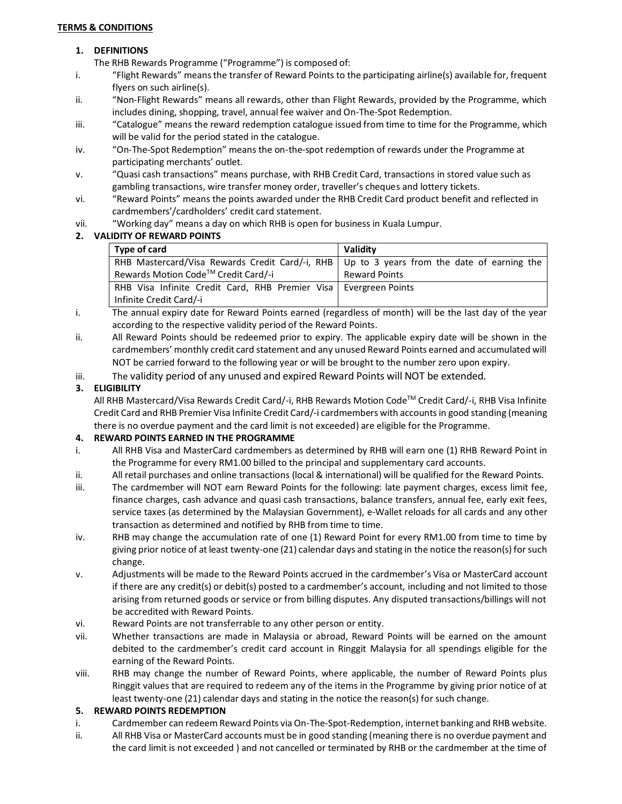#### **TERMS & CONDITIONS**

#### **1. DEFINITIONS**

- The RHB Rewards Programme ("Programme") is composed of:
- i. "Flight Rewards" means the transfer of Reward Points to the participating airline(s) available for, frequent flyers on such airline(s).
- ii. "Non-Flight Rewards" means all rewards, other than Flight Rewards, provided by the Programme, which includes dining, shopping, travel, annual fee waiver and On-The-Spot Redemption.
- iii. "Catalogue" means the reward redemption catalogue issued from time to time for the Programme, which will be valid for the period stated in the catalogue.
- iv. "On-The-Spot Redemption" means the on-the-spot redemption of rewards under the Programme at participating merchants' outlet.
- v. "Quasi cash transactions" means purchase, with RHB Credit Card, transactions in stored value such as gambling transactions, wire transfer money order, traveller's cheques and lottery tickets.
- vi. "Reward Points" means the points awarded under the RHB Credit Card product benefit and reflected in cardmembers'/cardholders' credit card statement.
- vii. "Working day" means a day on which RHB is open for business in Kuala Lumpur.

## **2. VALIDITY OF REWARD POINTS**

| Type of card                                                                                 | Validity             |
|----------------------------------------------------------------------------------------------|----------------------|
| RHB Mastercard/Visa Rewards Credit Card/-i, RHB   Up to 3 years from the date of earning the |                      |
| Rewards Motion Code™ Credit Card/-i                                                          | <b>Reward Points</b> |
| RHB Visa Infinite Credit Card, RHB Premier Visa   Evergreen Points                           |                      |
| Infinite Credit Card/-i                                                                      |                      |

- i. The annual expiry date for Reward Points earned (regardless of month) will be the last day of the year according to the respective validity period of the Reward Points.
- ii. All Reward Points should be redeemed prior to expiry. The applicable expiry date will be shown in the cardmembers' monthly credit card statement and any unused Reward Points earned and accumulated will NOT be carried forward to the following year or will be brought to the number zero upon expiry.
- iii. The validity period of any unused and expired Reward Points will NOT be extended.

## **3. ELIGIBILITY**

All RHB Mastercard/Visa Rewards Credit Card/-i, RHB Rewards Motion Code™ Credit Card/-i, RHB Visa Infinite Credit Card and RHB Premier Visa Infinite Credit Card/-i cardmembers with accounts in good standing (meaning there is no overdue payment and the card limit is not exceeded) are eligible for the Programme.

## **4. REWARD POINTS EARNED IN THE PROGRAMME**

- i. All RHB Visa and MasterCard cardmembers as determined by RHB will earn one (1) RHB Reward Point in the Programme for every RM1.00 billed to the principal and supplementary card accounts.
- ii. All retail purchases and online transactions (local & international) will be qualified for the Reward Points.
- iii. The cardmember will NOT earn Reward Points for the following: late payment charges, excess limit fee, finance charges, cash advance and quasi cash transactions, balance transfers, annual fee, early exit fees, service taxes (as determined by the Malaysian Government), e-Wallet reloads for all cards and any other transaction as determined and notified by RHB from time to time.
- iv. RHB may change the accumulation rate of one (1) Reward Point for every RM1.00 from time to time by giving prior notice of at least twenty-one (21) calendar days and stating in the notice the reason(s) for such change.
- v. Adjustments will be made to the Reward Points accrued in the cardmember's Visa or MasterCard account if there are any credit(s) or debit(s) posted to a cardmember's account, including and not limited to those arising from returned goods or service or from billing disputes. Any disputed transactions/billings will not be accredited with Reward Points.
- vi. Reward Points are not transferrable to any other person or entity.
- vii. Whether transactions are made in Malaysia or abroad, Reward Points will be earned on the amount debited to the cardmember's credit card account in Ringgit Malaysia for all spendings eligible for the earning of the Reward Points.
- viii. RHB may change the number of Reward Points, where applicable, the number of Reward Points plus Ringgit values that are required to redeem any of the items in the Programme by giving prior notice of at least twenty-one (21) calendar days and stating in the notice the reason(s) for such change.

## **5. REWARD POINTS REDEMPTION**

- i. Cardmember can redeem Reward Points via On-The-Spot-Redemption, internet banking and RHB website.
- ii. All RHB Visa or MasterCard accounts must be in good standing (meaning there is no overdue payment and the card limit is not exceeded ) and not cancelled or terminated by RHB or the cardmember at the time of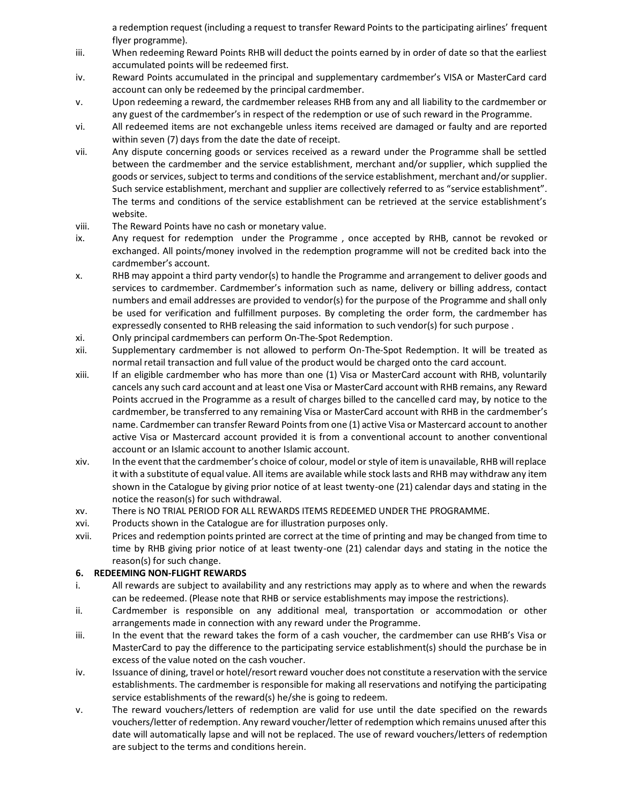a redemption request (including a request to transfer Reward Points to the participating airlines' frequent flyer programme).

- iii. When redeeming Reward Points RHB will deduct the points earned by in order of date so that the earliest accumulated points will be redeemed first.
- iv. Reward Points accumulated in the principal and supplementary cardmember's VISA or MasterCard card account can only be redeemed by the principal cardmember.
- v. Upon redeeming a reward, the cardmember releases RHB from any and all liability to the cardmember or any guest of the cardmember's in respect of the redemption or use of such reward in the Programme.
- vi. All redeemed items are not exchangeble unless items received are damaged or faulty and are reported within seven (7) days from the date the date of receipt.
- vii. Any dispute concerning goods or services received as a reward under the Programme shall be settled between the cardmember and the service establishment, merchant and/or supplier, which supplied the goods or services, subject to terms and conditions of the service establishment, merchant and/or supplier. Such service establishment, merchant and supplier are collectively referred to as "service establishment". The terms and conditions of the service establishment can be retrieved at the service establishment's website.
- viii. The Reward Points have no cash or monetary value.
- ix. Any request for redemption under the Programme , once accepted by RHB, cannot be revoked or exchanged. All points/money involved in the redemption programme will not be credited back into the cardmember's account.
- x. RHB may appoint a third party vendor(s) to handle the Programme and arrangement to deliver goods and services to cardmember. Cardmember's information such as name, delivery or billing address, contact numbers and email addresses are provided to vendor(s) for the purpose of the Programme and shall only be used for verification and fulfillment purposes. By completing the order form, the cardmember has expressedly consented to RHB releasing the said information to such vendor(s) for such purpose .
- xi. Only principal cardmembers can perform On-The-Spot Redemption.
- xii. Supplementary cardmember is not allowed to perform On-The-Spot Redemption. It will be treated as normal retail transaction and full value of the product would be charged onto the card account.
- xiii. If an eligible cardmember who has more than one (1) Visa or MasterCard account with RHB, voluntarily cancels any such card account and at least one Visa or MasterCard account with RHB remains, any Reward Points accrued in the Programme as a result of charges billed to the cancelled card may, by notice to the cardmember, be transferred to any remaining Visa or MasterCard account with RHB in the cardmember's name. Cardmember can transfer Reward Points from one (1) active Visa or Mastercard account to another active Visa or Mastercard account provided it is from a conventional account to another conventional account or an Islamic account to another Islamic account.
- xiv. In the event that the cardmember's choice of colour, model or style of item is unavailable, RHB will replace it with a substitute of equal value. All items are available while stock lasts and RHB may withdraw any item shown in the Catalogue by giving prior notice of at least twenty-one (21) calendar days and stating in the notice the reason(s) for such withdrawal.
- xv. There is NO TRIAL PERIOD FOR ALL REWARDS ITEMS REDEEMED UNDER THE PROGRAMME.
- xvi. Products shown in the Catalogue are for illustration purposes only.
- xvii. Prices and redemption points printed are correct at the time of printing and may be changed from time to time by RHB giving prior notice of at least twenty-one (21) calendar days and stating in the notice the reason(s) for such change.

## **6. REDEEMING NON-FLIGHT REWARDS**

- i. All rewards are subject to availability and any restrictions may apply as to where and when the rewards can be redeemed. (Please note that RHB or service establishments may impose the restrictions).
- ii. Cardmember is responsible on any additional meal, transportation or accommodation or other arrangements made in connection with any reward under the Programme.
- iii. In the event that the reward takes the form of a cash voucher, the cardmember can use RHB's Visa or MasterCard to pay the difference to the participating service establishment(s) should the purchase be in excess of the value noted on the cash voucher.
- iv. Issuance of dining, travel or hotel/resort reward voucher does not constitute a reservation with the service establishments. The cardmember is responsible for making all reservations and notifying the participating service establishments of the reward(s) he/she is going to redeem.
- v. The reward vouchers/letters of redemption are valid for use until the date specified on the rewards vouchers/letter of redemption. Any reward voucher/letter of redemption which remains unused after this date will automatically lapse and will not be replaced. The use of reward vouchers/letters of redemption are subject to the terms and conditions herein.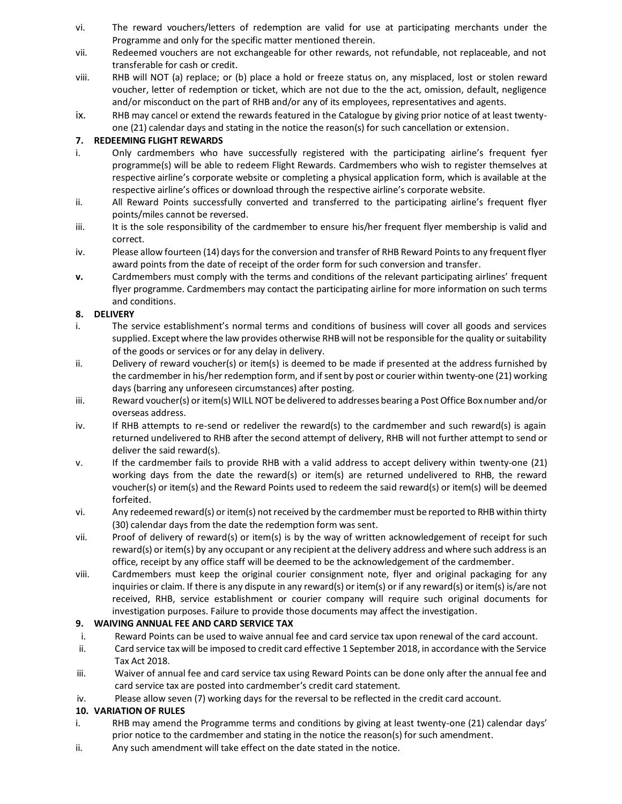- vi. The reward vouchers/letters of redemption are valid for use at participating merchants under the Programme and only for the specific matter mentioned therein.
- vii. Redeemed vouchers are not exchangeable for other rewards, not refundable, not replaceable, and not transferable for cash or credit.
- viii. RHB will NOT (a) replace; or (b) place a hold or freeze status on, any misplaced, lost or stolen reward voucher, letter of redemption or ticket, which are not due to the the act, omission, default, negligence and/or misconduct on the part of RHB and/or any of its employees, representatives and agents.
- ix. RHB may cancel or extend the rewards featured in the Catalogue by giving prior notice of at least twentyone (21) calendar days and stating in the notice the reason(s) for such cancellation or extension.

# **7. REDEEMING FLIGHT REWARDS**

- i. Only cardmembers who have successfully registered with the participating airline's frequent fyer programme(s) will be able to redeem Flight Rewards. Cardmembers who wish to register themselves at respective airline's corporate website or completing a physical application form, which is available at the respective airline's offices or download through the respective airline's corporate website.
- ii. All Reward Points successfully converted and transferred to the participating airline's frequent flyer points/miles cannot be reversed.
- iii. It is the sole responsibility of the cardmember to ensure his/her frequent flyer membership is valid and correct.
- iv. Please allow fourteen (14) days for the conversion and transfer of RHB Reward Points to any frequent flyer award points from the date of receipt of the order form for such conversion and transfer.
- **v.** Cardmembers must comply with the terms and conditions of the relevant participating airlines' frequent flyer programme. Cardmembers may contact the participating airline for more information on such terms and conditions.

## **8. DELIVERY**

- i. The service establishment's normal terms and conditions of business will cover all goods and services supplied. Except where the law provides otherwise RHB will not be responsible for the quality or suitability of the goods or services or for any delay in delivery.
- ii. Delivery of reward voucher(s) or item(s) is deemed to be made if presented at the address furnished by the cardmember in his/her redemption form, and if sent by post or courier within twenty-one (21) working days (barring any unforeseen circumstances) after posting.
- iii. Reward voucher(s) or item(s) WILL NOT be delivered to addresses bearing a Post Office Box number and/or overseas address.
- iv. If RHB attempts to re-send or redeliver the reward(s) to the cardmember and such reward(s) is again returned undelivered to RHB after the second attempt of delivery, RHB will not further attempt to send or deliver the said reward(s).
- v. If the cardmember fails to provide RHB with a valid address to accept delivery within twenty-one (21) working days from the date the reward(s) or item(s) are returned undelivered to RHB, the reward voucher(s) or item(s) and the Reward Points used to redeem the said reward(s) or item(s) will be deemed forfeited.
- vi. Any redeemed reward(s) or item(s) not received by the cardmember must be reported to RHB within thirty (30) calendar days from the date the redemption form was sent.
- vii. Proof of delivery of reward(s) or item(s) is by the way of written acknowledgement of receipt for such reward(s) or item(s) by any occupant or any recipient at the delivery address and where such address is an office, receipt by any office staff will be deemed to be the acknowledgement of the cardmember.
- viii. Cardmembers must keep the original courier consignment note, flyer and original packaging for any inquiries or claim. If there is any dispute in any reward(s) or item(s) or if any reward(s) or item(s) is/are not received, RHB, service establishment or courier company will require such original documents for investigation purposes. Failure to provide those documents may affect the investigation.

## **9. WAIVING ANNUAL FEE AND CARD SERVICE TAX**

- i. Reward Points can be used to waive annual fee and card service tax upon renewal of the card account.
- ii. Card service tax will be imposed to credit card effective 1 September 2018, in accordance with the Service Tax Act 2018.
- iii. Waiver of annual fee and card service tax using Reward Points can be done only after the annual fee and card service tax are posted into cardmember's credit card statement.
- iv. Please allow seven (7) working days for the reversal to be reflected in the credit card account.

## **10. VARIATION OF RULES**

- i. RHB may amend the Programme terms and conditions by giving at least twenty-one (21) calendar days' prior notice to the cardmember and stating in the notice the reason(s) for such amendment.
- ii. Any such amendment will take effect on the date stated in the notice.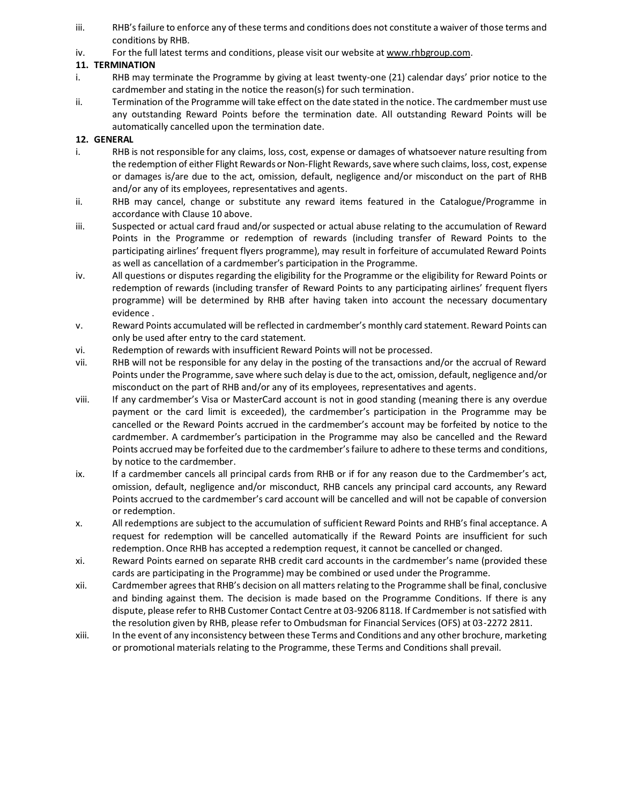- iii. RHB's failure to enforce any of these terms and conditions does not constitute a waiver of those terms and conditions by RHB.
- iv. For the full latest terms and conditions, please visit our website at [www.rhbgroup.com.](http://www.rhbgroup.com/)

## **11. TERMINATION**

- i. RHB may terminate the Programme by giving at least twenty-one (21) calendar days' prior notice to the cardmember and stating in the notice the reason(s) for such termination.
- ii. Termination of the Programme will take effect on the date stated in the notice. The cardmember must use any outstanding Reward Points before the termination date. All outstanding Reward Points will be automatically cancelled upon the termination date.

# **12. GENERAL**

- i. RHB is not responsible for any claims, loss, cost, expense or damages of whatsoever nature resulting from the redemption of either Flight Rewards or Non-Flight Rewards, save where such claims, loss, cost, expense or damages is/are due to the act, omission, default, negligence and/or misconduct on the part of RHB and/or any of its employees, representatives and agents.
- ii. RHB may cancel, change or substitute any reward items featured in the Catalogue/Programme in accordance with Clause 10 above.
- iii. Suspected or actual card fraud and/or suspected or actual abuse relating to the accumulation of Reward Points in the Programme or redemption of rewards (including transfer of Reward Points to the participating airlines' frequent flyers programme), may result in forfeiture of accumulated Reward Points as well as cancellation of a cardmember's participation in the Programme.
- iv. All questions or disputes regarding the eligibility for the Programme or the eligibility for Reward Points or redemption of rewards (including transfer of Reward Points to any participating airlines' frequent flyers programme) will be determined by RHB after having taken into account the necessary documentary evidence .
- v. Reward Points accumulated will be reflected in cardmember's monthly card statement. Reward Points can only be used after entry to the card statement.
- vi. Redemption of rewards with insufficient Reward Points will not be processed.
- vii. RHB will not be responsible for any delay in the posting of the transactions and/or the accrual of Reward Points under the Programme, save where such delay is due to the act, omission, default, negligence and/or misconduct on the part of RHB and/or any of its employees, representatives and agents.
- viii. If any cardmember's Visa or MasterCard account is not in good standing (meaning there is any overdue payment or the card limit is exceeded), the cardmember's participation in the Programme may be cancelled or the Reward Points accrued in the cardmember's account may be forfeited by notice to the cardmember. A cardmember's participation in the Programme may also be cancelled and the Reward Points accrued may be forfeited due to the cardmember's failure to adhere to these terms and conditions, by notice to the cardmember.
- ix. If a cardmember cancels all principal cards from RHB or if for any reason due to the Cardmember's act, omission, default, negligence and/or misconduct, RHB cancels any principal card accounts, any Reward Points accrued to the cardmember's card account will be cancelled and will not be capable of conversion or redemption.
- x. All redemptions are subject to the accumulation of sufficient Reward Points and RHB's final acceptance. A request for redemption will be cancelled automatically if the Reward Points are insufficient for such redemption. Once RHB has accepted a redemption request, it cannot be cancelled or changed.
- xi. Reward Points earned on separate RHB credit card accounts in the cardmember's name (provided these cards are participating in the Programme) may be combined or used under the Programme.
- xii. Cardmember agrees that RHB's decision on all matters relating to the Programme shall be final, conclusive and binding against them. The decision is made based on the Programme Conditions. If there is any dispute, please refer to RHB Customer Contact Centre at 03-9206 8118. If Cardmember is not satisfied with the resolution given by RHB, please refer to Ombudsman for Financial Services (OFS) at 03-2272 2811.
- xiii. In the event of any inconsistency between these Terms and Conditions and any other brochure, marketing or promotional materials relating to the Programme, these Terms and Conditions shall prevail.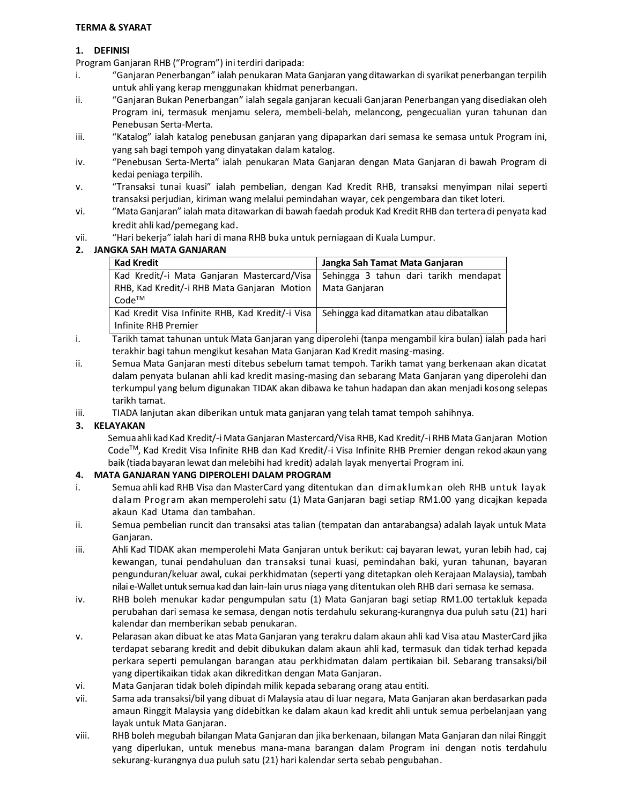#### **TERMA & SYARAT**

## **1. DEFINISI**

Program Ganjaran RHB ("Program") ini terdiri daripada:

- i. "Ganjaran Penerbangan" ialah penukaran Mata Ganjaran yang ditawarkan di syarikat penerbangan terpilih untuk ahli yang kerap menggunakan khidmat penerbangan.
- ii. "Ganjaran Bukan Penerbangan" ialah segala ganjaran kecuali Ganjaran Penerbangan yang disediakan oleh Program ini, termasuk menjamu selera, membeli-belah, melancong, pengecualian yuran tahunan dan Penebusan Serta-Merta.
- iii. "Katalog" ialah katalog penebusan ganjaran yang dipaparkan dari semasa ke semasa untuk Program ini, yang sah bagi tempoh yang dinyatakan dalam katalog.
- iv. "Penebusan Serta-Merta" ialah penukaran Mata Ganjaran dengan Mata Ganjaran di bawah Program di kedai peniaga terpilih.
- v. "Transaksi tunai kuasi" ialah pembelian, dengan Kad Kredit RHB, transaksi menyimpan nilai seperti transaksi perjudian, kiriman wang melalui pemindahan wayar, cek pengembara dan tiket loteri.
- vi. "Mata Ganjaran" ialah mata ditawarkan di bawah faedah produk Kad Kredit RHB dan tertera di penyata kad kredit ahli kad/pemegang kad.
- vii. "Hari bekerja" ialah hari di mana RHB buka untuk perniagaan di Kuala Lumpur.

## **2. JANGKA SAH MATA GANJARAN**

| <b>Kad Kredit</b>                                | Jangka Sah Tamat Mata Ganjaran          |
|--------------------------------------------------|-----------------------------------------|
| Kad Kredit/-i Mata Ganjaran Mastercard/Visa      | Sehingga 3 tahun dari tarikh mendapat   |
| RHB, Kad Kredit/-i RHB Mata Ganjaran Motion      | Mata Ganjaran                           |
| $Code^{TM}$                                      |                                         |
| Kad Kredit Visa Infinite RHB, Kad Kredit/-i Visa | Sehingga kad ditamatkan atau dibatalkan |
| Infinite RHB Premier                             |                                         |

- i. Tarikh tamat tahunan untuk Mata Ganjaran yang diperolehi (tanpa mengambil kira bulan) ialah pada hari terakhir bagi tahun mengikut kesahan Mata Ganjaran Kad Kredit masing-masing.
- ii. Semua Mata Ganjaran mesti ditebus sebelum tamat tempoh. Tarikh tamat yang berkenaan akan dicatat dalam penyata bulanan ahli kad kredit masing-masing dan sebarang Mata Ganjaran yang diperolehi dan terkumpul yang belum digunakan TIDAK akan dibawa ke tahun hadapan dan akan menjadi kosong selepas tarikh tamat.
- iii. TIADA lanjutan akan diberikan untuk mata ganjaran yang telah tamat tempoh sahihnya.

## **3. KELAYAKAN**

Semua ahli kad Kad Kredit/-i Mata Ganjaran Mastercard/Visa RHB, Kad Kredit/-i RHB Mata Ganjaran Motion CodeTM, Kad Kredit Visa Infinite RHB dan Kad Kredit/-i Visa Infinite RHB Premier dengan rekod akaun yang baik (tiadabayaran lewat danmelebihi had kredit) adalah layak menyertai Program ini.

## **4. MATA GANJARAN YANG DIPEROLEHI DALAM PROGRAM**

- i. Semua ahli kad RHB Visa dan MasterCard yang ditentukan dan dimak lumkan oleh RHB untuk layak dalam Program akan memperolehi satu (1) Mata Ganjaran bagi setiap RM1.00 yang dicajkan kepada akaun Kad Utama dan tambahan.
- ii. Semua pembelian runcit dan transaksi atas talian (tempatan dan antarabangsa) adalah layak untuk Mata Ganjaran.
- iii. Ahli Kad TIDAK akan memperolehi Mata Ganjaran untuk berikut: caj bayaran lewat, yuran lebih had, caj kewangan, tunai pendahuluan dan transaksi tunai kuasi, pemindahan baki, yuran tahunan, bayaran pengunduran/keluar awal, cukai perkhidmatan (seperti yang ditetapkan oleh Kerajaan Malaysia), tambah nilai e-Wallet untuk semua kad dan lain-lain urus niaga yang ditentukan oleh RHB dari semasa ke semasa.
- iv. RHB boleh menukar kadar pengumpulan satu (1) Mata Ganjaran bagi setiap RM1.00 tertakluk kepada perubahan dari semasa ke semasa, dengan notis terdahulu sekurang-kurangnya dua puluh satu (21) hari kalendar dan memberikan sebab penukaran.
- v. Pelarasan akan dibuat ke atas Mata Ganjaran yang terakru dalam akaun ahli kad Visa atau MasterCard jika terdapat sebarang kredit and debit dibukukan dalam akaun ahli kad, termasuk dan tidak terhad kepada perkara seperti pemulangan barangan atau perkhidmatan dalam pertikaian bil. Sebarang transaksi/bil yang dipertikaikan tidak akan dikreditkan dengan Mata Ganjaran.
- vi. Mata Ganjaran tidak boleh dipindah milik kepada sebarang orang atau entiti.
- vii. Sama ada transaksi/bil yang dibuat di Malaysia atau di luar negara, Mata Ganjaran akan berdasarkan pada amaun Ringgit Malaysia yang didebitkan ke dalam akaun kad kredit ahli untuk semua perbelanjaan yang layak untuk Mata Ganjaran.
- viii. RHB boleh megubah bilangan Mata Ganjaran dan jika berkenaan, bilangan Mata Ganjaran dan nilai Ringgit yang diperlukan, untuk menebus mana-mana barangan dalam Program ini dengan notis terdahulu sekurang-kurangnya dua puluh satu (21) hari kalendar serta sebab pengubahan.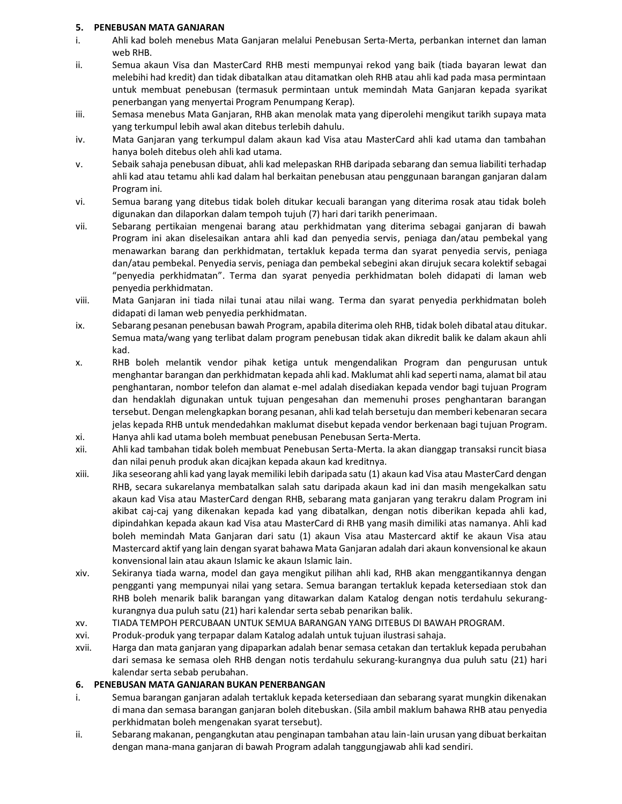#### **5. PENEBUSAN MATA GANJARAN**

- i. Ahli kad boleh menebus Mata Ganjaran melalui Penebusan Serta-Merta, perbankan internet dan laman web RHB.
- ii. Semua akaun Visa dan MasterCard RHB mesti mempunyai rekod yang baik (tiada bayaran lewat dan melebihi had kredit) dan tidak dibatalkan atau ditamatkan oleh RHB atau ahli kad pada masa permintaan untuk membuat penebusan (termasuk permintaan untuk memindah Mata Ganjaran kepada syarikat penerbangan yang menyertai Program Penumpang Kerap).
- iii. Semasa menebus Mata Ganjaran, RHB akan menolak mata yang diperolehi mengikut tarikh supaya mata yang terkumpul lebih awal akan ditebus terlebih dahulu.
- iv. Mata Ganjaran yang terkumpul dalam akaun kad Visa atau MasterCard ahli kad utama dan tambahan hanya boleh ditebus oleh ahli kad utama.
- v. Sebaik sahaja penebusan dibuat, ahli kad melepaskan RHB daripada sebarang dan semua liabiliti terhadap ahli kad atau tetamu ahli kad dalam hal berkaitan penebusan atau penggunaan barangan ganjaran dalam Program ini.
- vi. Semua barang yang ditebus tidak boleh ditukar kecuali barangan yang diterima rosak atau tidak boleh digunakan dan dilaporkan dalam tempoh tujuh (7) hari dari tarikh penerimaan.
- vii. Sebarang pertikaian mengenai barang atau perkhidmatan yang diterima sebagai ganjaran di bawah Program ini akan diselesaikan antara ahli kad dan penyedia servis, peniaga dan/atau pembekal yang menawarkan barang dan perkhidmatan, tertakluk kepada terma dan syarat penyedia servis, peniaga dan/atau pembekal. Penyedia servis, peniaga dan pembekal sebegini akan dirujuk secara kolektif sebagai "penyedia perkhidmatan". Terma dan syarat penyedia perkhidmatan boleh didapati di laman web penyedia perkhidmatan.
- viii. Mata Ganjaran ini tiada nilai tunai atau nilai wang. Terma dan syarat penyedia perkhidmatan boleh didapati di laman web penyedia perkhidmatan.
- ix. Sebarang pesanan penebusan bawah Program, apabila diterima oleh RHB, tidak boleh dibatal atau ditukar. Semua mata/wang yang terlibat dalam program penebusan tidak akan dikredit balik ke dalam akaun ahli kad.
- x. RHB boleh melantik vendor pihak ketiga untuk mengendalikan Program dan pengurusan untuk menghantar barangan dan perkhidmatan kepada ahli kad. Maklumat ahli kad seperti nama, alamat bil atau penghantaran, nombor telefon dan alamat e-mel adalah disediakan kepada vendor bagi tujuan Program dan hendaklah digunakan untuk tujuan pengesahan dan memenuhi proses penghantaran barangan tersebut. Dengan melengkapkan borang pesanan, ahli kad telah bersetuju dan memberi kebenaran secara jelas kepada RHB untuk mendedahkan maklumat disebut kepada vendor berkenaan bagi tujuan Program.
- xi. Hanya ahli kad utama boleh membuat penebusan Penebusan Serta-Merta.
- xii. Ahli kad tambahan tidak boleh membuat Penebusan Serta-Merta. Ia akan dianggap transaksi runcit biasa dan nilai penuh produk akan dicajkan kepada akaun kad kreditnya.
- xiii. Jika seseorang ahli kad yang layak memiliki lebih daripada satu (1) akaun kad Visa atau MasterCard dengan RHB, secara sukarelanya membatalkan salah satu daripada akaun kad ini dan masih mengekalkan satu akaun kad Visa atau MasterCard dengan RHB, sebarang mata ganjaran yang terakru dalam Program ini akibat caj-caj yang dikenakan kepada kad yang dibatalkan, dengan notis diberikan kepada ahli kad, dipindahkan kepada akaun kad Visa atau MasterCard di RHB yang masih dimiliki atas namanya. Ahli kad boleh memindah Mata Ganjaran dari satu (1) akaun Visa atau Mastercard aktif ke akaun Visa atau Mastercard aktif yang lain dengan syarat bahawa Mata Ganjaran adalah dari akaun konvensional ke akaun konvensional lain atau akaun Islamic ke akaun Islamic lain.
- xiv. Sekiranya tiada warna, model dan gaya mengikut pilihan ahli kad, RHB akan menggantikannya dengan pengganti yang mempunyai nilai yang setara. Semua barangan tertakluk kepada ketersediaan stok dan RHB boleh menarik balik barangan yang ditawarkan dalam Katalog dengan notis terdahulu sekurangkurangnya dua puluh satu (21) hari kalendar serta sebab penarikan balik.
- xv. TIADA TEMPOH PERCUBAAN UNTUK SEMUA BARANGAN YANG DITEBUS DI BAWAH PROGRAM.
- xvi. Produk-produk yang terpapar dalam Katalog adalah untuk tujuan ilustrasi sahaja.
- xvii. Harga dan mata ganjaran yang dipaparkan adalah benar semasa cetakan dan tertakluk kepada perubahan dari semasa ke semasa oleh RHB dengan notis terdahulu sekurang-kurangnya dua puluh satu (21) hari kalendar serta sebab perubahan.

#### **6. PENEBUSAN MATA GANJARAN BUKAN PENERBANGAN**

- i. Semua barangan ganjaran adalah tertakluk kepada ketersediaan dan sebarang syarat mungkin dikenakan di mana dan semasa barangan ganjaran boleh ditebuskan. (Sila ambil maklum bahawa RHB atau penyedia perkhidmatan boleh mengenakan syarat tersebut).
- ii. Sebarang makanan, pengangkutan atau penginapan tambahan atau lain-lain urusan yang dibuat berkaitan dengan mana-mana ganjaran di bawah Program adalah tanggungjawab ahli kad sendiri.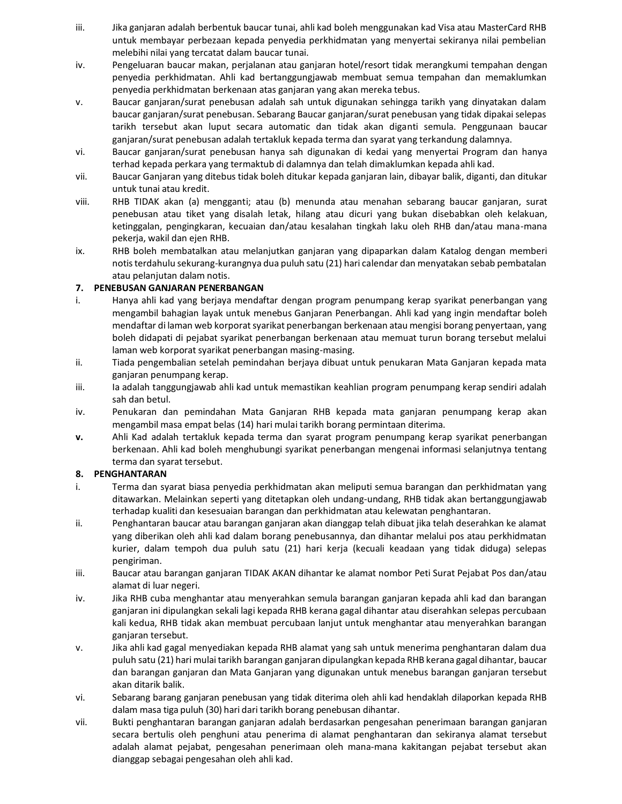- iii. Jika ganjaran adalah berbentuk baucar tunai, ahli kad boleh menggunakan kad Visa atau MasterCard RHB untuk membayar perbezaan kepada penyedia perkhidmatan yang menyertai sekiranya nilai pembelian melebihi nilai yang tercatat dalam baucar tunai.
- iv. Pengeluaran baucar makan, perjalanan atau ganjaran hotel/resort tidak merangkumi tempahan dengan penyedia perkhidmatan. Ahli kad bertanggungjawab membuat semua tempahan dan memaklumkan penyedia perkhidmatan berkenaan atas ganjaran yang akan mereka tebus.
- v. Baucar ganjaran/surat penebusan adalah sah untuk digunakan sehingga tarikh yang dinyatakan dalam baucar ganjaran/surat penebusan. Sebarang Baucar ganjaran/surat penebusan yang tidak dipakai selepas tarikh tersebut akan luput secara automatic dan tidak akan diganti semula. Penggunaan baucar ganjaran/surat penebusan adalah tertakluk kepada terma dan syarat yang terkandung dalamnya.
- vi. Baucar ganjaran/surat penebusan hanya sah digunakan di kedai yang menyertai Program dan hanya terhad kepada perkara yang termaktub di dalamnya dan telah dimaklumkan kepada ahli kad.
- vii. Baucar Ganjaran yang ditebus tidak boleh ditukar kepada ganjaran lain, dibayar balik, diganti, dan ditukar untuk tunai atau kredit.
- viii. RHB TIDAK akan (a) mengganti; atau (b) menunda atau menahan sebarang baucar ganjaran, surat penebusan atau tiket yang disalah letak, hilang atau dicuri yang bukan disebabkan oleh kelakuan, ketinggalan, pengingkaran, kecuaian dan/atau kesalahan tingkah laku oleh RHB dan/atau mana-mana pekerja, wakil dan ejen RHB.
- ix. RHB boleh membatalkan atau melanjutkan ganjaran yang dipaparkan dalam Katalog dengan memberi notis terdahulu sekurang-kurangnya dua puluh satu (21) hari calendar dan menyatakan sebab pembatalan atau pelanjutan dalam notis.

## **7. PENEBUSAN GANJARAN PENERBANGAN**

- i. Hanya ahli kad yang berjaya mendaftar dengan program penumpang kerap syarikat penerbangan yang mengambil bahagian layak untuk menebus Ganjaran Penerbangan. Ahli kad yang ingin mendaftar boleh mendaftar di laman web korporat syarikat penerbangan berkenaan atau mengisi borang penyertaan, yang boleh didapati di pejabat syarikat penerbangan berkenaan atau memuat turun borang tersebut melalui laman web korporat syarikat penerbangan masing-masing.
- ii. Tiada pengembalian setelah pemindahan berjaya dibuat untuk penukaran Mata Ganjaran kepada mata ganjaran penumpang kerap.
- iii. Ia adalah tanggungjawab ahli kad untuk memastikan keahlian program penumpang kerap sendiri adalah sah dan betul.
- iv. Penukaran dan pemindahan Mata Ganjaran RHB kepada mata ganjaran penumpang kerap akan mengambil masa empat belas (14) hari mulai tarikh borang permintaan diterima.
- **v.** Ahli Kad adalah tertakluk kepada terma dan syarat program penumpang kerap syarikat penerbangan berkenaan. Ahli kad boleh menghubungi syarikat penerbangan mengenai informasi selanjutnya tentang terma dan syarat tersebut.

## **8. PENGHANTARAN**

- i. Terma dan syarat biasa penyedia perkhidmatan akan meliputi semua barangan dan perkhidmatan yang ditawarkan. Melainkan seperti yang ditetapkan oleh undang-undang, RHB tidak akan bertanggungjawab terhadap kualiti dan kesesuaian barangan dan perkhidmatan atau kelewatan penghantaran.
- ii. Penghantaran baucar atau barangan ganjaran akan dianggap telah dibuat jika telah deserahkan ke alamat yang diberikan oleh ahli kad dalam borang penebusannya, dan dihantar melalui pos atau perkhidmatan kurier, dalam tempoh dua puluh satu (21) hari kerja (kecuali keadaan yang tidak diduga) selepas pengiriman.
- iii. Baucar atau barangan ganjaran TIDAK AKAN dihantar ke alamat nombor Peti Surat Pejabat Pos dan/atau alamat di luar negeri.
- iv. Jika RHB cuba menghantar atau menyerahkan semula barangan ganjaran kepada ahli kad dan barangan ganjaran ini dipulangkan sekali lagi kepada RHB kerana gagal dihantar atau diserahkan selepas percubaan kali kedua, RHB tidak akan membuat percubaan lanjut untuk menghantar atau menyerahkan barangan ganjaran tersebut.
- v. Jika ahli kad gagal menyediakan kepada RHB alamat yang sah untuk menerima penghantaran dalam dua puluh satu (21) hari mulai tarikh barangan ganjaran dipulangkan kepada RHB kerana gagal dihantar, baucar dan barangan ganjaran dan Mata Ganjaran yang digunakan untuk menebus barangan ganjaran tersebut akan ditarik balik.
- vi. Sebarang barang ganjaran penebusan yang tidak diterima oleh ahli kad hendaklah dilaporkan kepada RHB dalam masa tiga puluh (30) hari dari tarikh borang penebusan dihantar.
- vii. Bukti penghantaran barangan ganjaran adalah berdasarkan pengesahan penerimaan barangan ganjaran secara bertulis oleh penghuni atau penerima di alamat penghantaran dan sekiranya alamat tersebut adalah alamat pejabat, pengesahan penerimaan oleh mana-mana kakitangan pejabat tersebut akan dianggap sebagai pengesahan oleh ahli kad.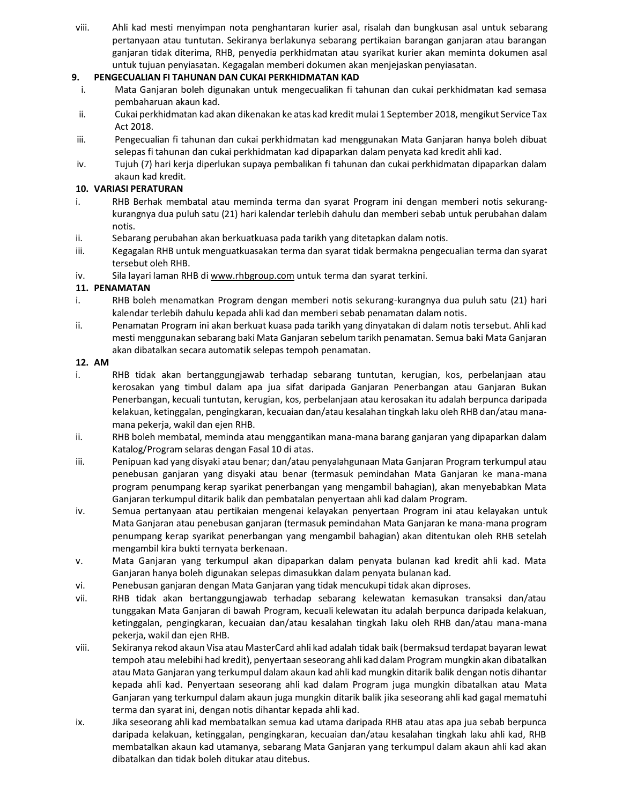viii. Ahli kad mesti menyimpan nota penghantaran kurier asal, risalah dan bungkusan asal untuk sebarang pertanyaan atau tuntutan. Sekiranya berlakunya sebarang pertikaian barangan ganjaran atau barangan ganjaran tidak diterima, RHB, penyedia perkhidmatan atau syarikat kurier akan meminta dokumen asal untuk tujuan penyiasatan. Kegagalan memberi dokumen akan menjejaskan penyiasatan.

#### **9. PENGECUALIAN FI TAHUNAN DAN CUKAI PERKHIDMATAN KAD**

- i. Mata Ganjaran boleh digunakan untuk mengecualikan fi tahunan dan cukai perkhidmatan kad semasa pembaharuan akaun kad.
- ii. Cukai perkhidmatan kad akan dikenakan ke atas kad kredit mulai 1 September 2018, mengikut Service Tax Act 2018.
- iii. Pengecualian fi tahunan dan cukai perkhidmatan kad menggunakan Mata Ganjaran hanya boleh dibuat selepas fi tahunan dan cukai perkhidmatan kad dipaparkan dalam penyata kad kredit ahli kad.
- iv. Tujuh (7) hari kerja diperlukan supaya pembalikan fi tahunan dan cukai perkhidmatan dipaparkan dalam akaun kad kredit.

#### **10. VARIASI PERATURAN**

- i. RHB Berhak membatal atau meminda terma dan syarat Program ini dengan memberi notis sekurangkurangnya dua puluh satu (21) hari kalendar terlebih dahulu dan memberi sebab untuk perubahan dalam notis.
- ii. Sebarang perubahan akan berkuatkuasa pada tarikh yang ditetapkan dalam notis.
- iii. Kegagalan RHB untuk menguatkuasakan terma dan syarat tidak bermakna pengecualian terma dan syarat tersebut oleh RHB.
- iv. Sila layari laman RHB di [www.rhbgroup.com](http://www.rhbgroup.com/) untuk terma dan syarat terkini.

#### **11. PENAMATAN**

- i. RHB boleh menamatkan Program dengan memberi notis sekurang-kurangnya dua puluh satu (21) hari kalendar terlebih dahulu kepada ahli kad dan memberi sebab penamatan dalam notis.
- ii. Penamatan Program ini akan berkuat kuasa pada tarikh yang dinyatakan di dalam notis tersebut. Ahli kad mesti menggunakan sebarang baki Mata Ganjaran sebelum tarikh penamatan. Semua baki Mata Ganjaran akan dibatalkan secara automatik selepas tempoh penamatan.

#### **12. AM**

- i. RHB tidak akan bertanggungjawab terhadap sebarang tuntutan, kerugian, kos, perbelanjaan atau kerosakan yang timbul dalam apa jua sifat daripada Ganjaran Penerbangan atau Ganjaran Bukan Penerbangan, kecuali tuntutan, kerugian, kos, perbelanjaan atau kerosakan itu adalah berpunca daripada kelakuan, ketinggalan, pengingkaran, kecuaian dan/atau kesalahan tingkah laku oleh RHB dan/atau manamana pekerja, wakil dan ejen RHB.
- ii. RHB boleh membatal, meminda atau menggantikan mana-mana barang ganjaran yang dipaparkan dalam Katalog/Program selaras dengan Fasal 10 di atas.
- iii. Penipuan kad yang disyaki atau benar; dan/atau penyalahgunaan Mata Ganjaran Program terkumpul atau penebusan ganjaran yang disyaki atau benar (termasuk pemindahan Mata Ganjaran ke mana-mana program penumpang kerap syarikat penerbangan yang mengambil bahagian), akan menyebabkan Mata Ganjaran terkumpul ditarik balik dan pembatalan penyertaan ahli kad dalam Program.
- iv. Semua pertanyaan atau pertikaian mengenai kelayakan penyertaan Program ini atau kelayakan untuk Mata Ganjaran atau penebusan ganjaran (termasuk pemindahan Mata Ganjaran ke mana-mana program penumpang kerap syarikat penerbangan yang mengambil bahagian) akan ditentukan oleh RHB setelah mengambil kira bukti ternyata berkenaan.
- v. Mata Ganjaran yang terkumpul akan dipaparkan dalam penyata bulanan kad kredit ahli kad. Mata Ganjaran hanya boleh digunakan selepas dimasukkan dalam penyata bulanan kad.
- vi. Penebusan ganjaran dengan Mata Ganjaran yang tidak mencukupi tidak akan diproses.
- vii. RHB tidak akan bertanggungjawab terhadap sebarang kelewatan kemasukan transaksi dan/atau tunggakan Mata Ganjaran di bawah Program, kecuali kelewatan itu adalah berpunca daripada kelakuan, ketinggalan, pengingkaran, kecuaian dan/atau kesalahan tingkah laku oleh RHB dan/atau mana-mana pekerja, wakil dan ejen RHB.
- viii. Sekiranya rekod akaun Visa atau MasterCard ahli kad adalah tidak baik (bermaksud terdapat bayaran lewat tempoh atau melebihi had kredit), penyertaan seseorang ahli kad dalam Program mungkin akan dibatalkan atau Mata Ganjaran yang terkumpul dalam akaun kad ahli kad mungkin ditarik balik dengan notis dihantar kepada ahli kad. Penyertaan seseorang ahli kad dalam Program juga mungkin dibatalkan atau Mata Ganjaran yang terkumpul dalam akaun juga mungkin ditarik balik jika seseorang ahli kad gagal mematuhi terma dan syarat ini, dengan notis dihantar kepada ahli kad.
- ix. Jika seseorang ahli kad membatalkan semua kad utama daripada RHB atau atas apa jua sebab berpunca daripada kelakuan, ketinggalan, pengingkaran, kecuaian dan/atau kesalahan tingkah laku ahli kad, RHB membatalkan akaun kad utamanya, sebarang Mata Ganjaran yang terkumpul dalam akaun ahli kad akan dibatalkan dan tidak boleh ditukar atau ditebus.